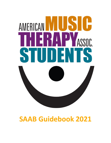# AMERICAN IN ASSOC.  $\blacksquare$  $\overline{\phantom{a}}$ 15 N

# **SAAB Guidebook 2021**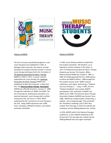



#### History of AMTA

The first curriculum specifically designed to train music therapists was established in 1944 at Michigan State University. The need to provide standards for hospital musicians trained in clinical music therapy techniques led to the formation of The National Association for Music Therapy (NAMT) in 1950. In 1971, a second national organization for music therapy, the American Association for Music Therapy (AAMT) was established at New York University in New York City. The **American Music Therapy Association** (AMTA) was officially formed on January  $1<sup>st</sup>$ , 1998 through the unification of NAMT and AAMT. The aim of having one professional association is to lead and represent music therapy with a unified strong voice into the future. In 2010, AMTA celebrated the 60<sup>th</sup> anniversary of music therapy in the USA. Today, AMTA represents over 3,800 music therapists, affiliated members, and related associates worldwide.

#### History of AMTAS

In 1963, music therapy students created their first student newsletter, "MT Student", as an attempt to connect students in the nation. In 1977, The National Association for Music Therapy Students was formed. The Student Affairs Advisory Board (SAAB) was created in 1982. In 1984, the SAAB appointed the first SAAB advisor, to advise the NAMTS officers. 1986 brought the first student session at the NAMT national conference, each region performing a "Students say music therapy is…" song. In 1987, the first "Student Handbook" was created. NAMTS participated in the unification of NAMT and AAMT, and in 1998 The American Music Therapy Association Students (AMTAS) was formed. Since 1998, AMTAS has created student scholarships, a website, and a Facebook page. They reinstated the President's Challenge, and in 2007 they created their first logo. In 2010, the website was revamped, and the SAAB guidebook was written.

In 2016, AMTAS held its first National Passages Conference. In 2017 AMTAS celebrated its 40<sup>th</sup> Anniversary! The new logo was created and the SAAB guidebook was once again revamped.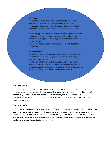#### **Definition**

Music Therapy is the clinical and evidence-based use of music interventions to accomplish individualized goals within a therapeutic relationship by a credentialed professional who has completed an approved music therapy program (AMTA, 2005).

Music therapy is an established healthcare profession that uses music to address physical, emotional, cognitive, and social needs of individuals of all ages. Music therapy improves the quality of life for persons who are

well and meets the needs of children and adults with disabilities or illnesses.

#### **Music Therapists**

Must have a bachelor's degree or higher in music therapy from one of AMTA's 88+ approved colleges and universities, including 1200 hours of clinical training.

Must hold the MT-BC credential, issued through the Certification Board for Music Therapists, which protects the public by ensuring competent practice and requiring continuing education. Some states also require licensure for board certified music therapists.

#### **Purpose of AMTA**

AMTA's mission is to advance public awareness of the benefits of music therapy and increase access to quality music therapy services in a rapidly changing world. In consideration of the diversity of music used in healthcare, special education, and other settings, AMTA unequivocally recommends the unique knowledge and skill of board certified music therapists. (musictherapy.org)

#### **Purpose of AMTAS**

AMTAS was created to provide valuable information about music therapy, including what music therapy is, how to get involved in music therapy, and how to begin your journey to becoming a professional music therapist. We are able to do this through a collaboration with the American Music Therapy Association (AMTA), working with them at the regional and national levels. AMTAS believes the future of music therapy begins with students.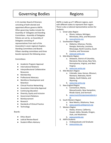## Governing Bodies | Regions

A 15-member Board of Directors consisting of both elected and appointed officers governs AMTA. Other governing bodies include the Assembly of Delegates and Standing Committees. Assembly of Delegates Policies are set by an Assembly of Delegates consisting of representatives from each of the Association's seven regional chapters. Standing Committees and Boards Fifteen standing committees and three boards represent the following areas:

#### Committees:

- Academic Program Approval
- **International Relations**
- Interprofessional Collaborative Resources
- Membership
- Professional Advocacy
- Workforce Development and Retention
- Clinical Practice Networking
- Association Internship Approval
- Continuing Education
- Diversity, Equity and Inclusion
- Government Relations
- Reimbursement
- Research
- **Standards of Clinical Practice**
- **Technology**

#### Boards:

- **Ethics Board**
- Judicial Review Board
- **Student Affairs Advisory**

AMTA is made up of 7 different regions, each with different states to represent their region. There is also a national representative section for students:

- 1. Great Lakes Region
	- a. Illinois, Indiana, Michigan, Minnesota, Ohio, and Wisconsin b. [www.glramta.org](http://www.glramta.org)
	-
- 2. Southeastern Region
	- a. Alabama, Arkansas, Florida, Georgia, Kentucky, Louisiana, Mississippi, North Carolina, South Carolina, and Tennessee
	- b. [www.ser-amta.org](http://www.ser-amta.org)
- 3. Mid-Atlantic Region
	- a. Delaware, District of Columbia, Maryland, New Jersey, New York, Pennsylvania, Virginia, and West Virginia
	- b. [www.mar-amta.org](http://www.mar-amta.org)
- 4. Mid-Western Region
	- a. Colorado, Iowa, Kansas, Missouri, Montana, Nebraska, North Dakota, South Dakota, and Wyoming
	- b. [www.mw-amta.org](http://www.mw-amta.org)
- 5. New England Region
	- a. Connecticut, Maine, Massachusetts, New Hampshire, Rhode Island, and Vermont
	- b. [www.musictherapynewengland.o](http://www.musictherapynewengland.org) [rg](http://www.musictherapynewengland.org)
- 6. South Western Region
	- a. New Mexico, Oklahoma, Texas
	- b. [www.swamta.wildapricot.org](http://www.swamta.wildapricot.org)
- 7. Western Region
	- a. Alaska, Arizona, California, Hawaii, Idaho, Nevada, Oregon, Utah, and Washinton
	- b. [www.wramta.org](http://www.wramta.org)
- 8. AMTA Students
	- a. Undergraduate and Graduate
	- b. [www.amtas.org](http://www.amtas.org)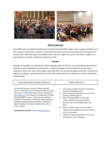

#### **AMTA Conferences**

The AMTA hosts one National Conference in the fall and each AMTA region hosts a regional conference in the spring. At conferences, students can attend sessions and concerts, buy instruments and books, and connect with other therapists and students from their own region and across the nation. Students are also welcome to submit conference proposals as well.

#### **Passages**

Passages are student-run conferences aimed at giving students, interns, and new professionals practical experience with presentations and research. A national passages is held annually at the fall nation conference prior to its start. Many regions also hold their own annual passages conference. Contact your regional or national executive board for further information about the conference as well as submitting a presentation.

| International Music Therapy Conference                                                                                                                                                                                                                                                                                                                                                                                                                                                                                    | <b>AMTA Publications</b>                                                                                                                                                                                                                                                                                                                                                                                                                                                                        |  |
|---------------------------------------------------------------------------------------------------------------------------------------------------------------------------------------------------------------------------------------------------------------------------------------------------------------------------------------------------------------------------------------------------------------------------------------------------------------------------------------------------------------------------|-------------------------------------------------------------------------------------------------------------------------------------------------------------------------------------------------------------------------------------------------------------------------------------------------------------------------------------------------------------------------------------------------------------------------------------------------------------------------------------------------|--|
| The World Federation of Music Therapy (WFMT)<br>hosts an international music therapy conference every<br>three years. Current information can be obtained at<br>www.wfmt.info. The European Confederation of Music<br>Therapy (ECMT) hosts an international conference<br>located in Europe every three years. More details are<br>available at international associations' websites to<br>obtain detailed information. Explore the world of<br>music therapy.<br><b>International E-Journal: Voices at www.voices.no</b> | The Journal of Music Therapy: A Quarterly<br>$\bullet$<br>Research-Oriented Journal<br>Music Therapy Perspectives: A semi-annual,<br>$\bullet$<br>practice-oriented journal<br>Music Therapy Matters: A quarterly<br>$\bullet$<br>online newsletter focusing on AMTA<br>business and current happenings in the<br>field.<br>Music Therapy E-news: An E-newsletter<br>$\bullet$<br>relevant to the profession of music therapy<br>sent out frequently.<br>AMTA-Pro: Online Symposiums from music |  |

therapists for music therapists.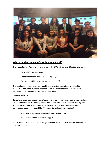

#### **Who is on the Student Affairs Advisory Board?**

The Student Affairs Advisory Board consists of the SAAB Advisor and 20 voting members:

- The AMTAS Executive Board (6)
- The President from each individual region (7)
- The Student Affairs Advisor from each region (7)

The SAAB considers any concerns brought to its attention by students or related to students. Professional members of the SAAB are elected/appointed by the students of each region in accordance with its respective Bylaws.

#### Purpose of SAAB

To examine issues that impact students and to provide a forum where they are able to bring up any concerns. We are working closely with the AMTA Board of Directors. The regional student advisors, and the national student advisor would like to stay in touch and up-to-date with current student life. We would like to hear from you about

- What do you think we are doing well as an organization?
- What improvements would you suggest?

Please don't hesitate to contact us and get involved. We are here for you and would like to have you on board!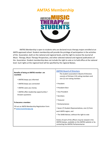

AMTAS Membership is open to students who are declared music therapy majors enrolled at an AMTA approved school. Student membership will provide the privilege of participation in the activities of the Association, both on the national and regional levels, and the right to receive the *Journal of Music Therapy, Music Therapy Perspectives,* and other selected national and regional publications of the Association. Student membership does not include the right to vote or to hold office at the national level. Such rights at the regional level will be specified by the regional Bylaws.

| Benefits of being an AMTAS member are<br>manifold:                                              | <b>AMTAS Board of Directors</b><br>The student association's Board of Directors<br>consists of thirteen (13) voting members and<br>one (1) non-voting member: |
|-------------------------------------------------------------------------------------------------|---------------------------------------------------------------------------------------------------------------------------------------------------------------|
| • AMTAS keeps you informed                                                                      |                                                                                                                                                               |
| • AMTAS keeps you connected                                                                     | • President                                                                                                                                                   |
| • AMTAS saves you money                                                                         | • President-Flect                                                                                                                                             |
| • AMTAS offers leadership opportunities •<br>Answers questions                                  | • Vice President                                                                                                                                              |
|                                                                                                 | • Secretary                                                                                                                                                   |
| To become a member:<br>Fill out an AMTA Membership Registration Form<br>at www.musictherapy.org | • Treasurer                                                                                                                                                   |
|                                                                                                 | • Parliamentarian                                                                                                                                             |
|                                                                                                 | • Seven (7) Student Representatives, one (1) from                                                                                                             |
|                                                                                                 | each AMTA region, and                                                                                                                                         |
|                                                                                                 | • The SAAB Advisor, without the right to vote                                                                                                                 |
|                                                                                                 | Duties of each of the officers may be viewed in the<br>AMTAS bylaws, available on the AMTAS website or by<br>contacting the AMTAS Parliamentarian             |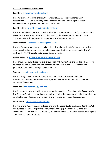#### **AMTAS National Executive Board:**

#### **President:** president.amtas@gmail.com

The President serves as Chief Executive Officer of AMTAS. The President's main responsibilities include overseeing scholarship submissions and acting as a liaison between various organizations and executive boards.

#### **President-Elect:** presidentelect.amtas@gmail.com

The President-Elect's role is to assist the President as requested and study the duties of the President in anticipation of assuming the position. The President-Elect also acts as a correspondent with the Standing Committee Student Representatives.

#### **Vice President:** vicepresident.amtas@gmail.com

The Vice President's main responsibilities include updating the AMTAS website as well as communicating information such as scholarship opportunities, via social media. The VP controls the AMTAS social media accounts and website.

#### **Parliamentarian:** parliamentarian.amtas@gmail.com

The Parliamentarian's duties include ensuring all AMTAS meetings are conducted according to Robert's Rules of Order. The Parliamentarian also reviews the AMTAS Bylaws and presents recommended changes to be approved.

#### **Secretary:** secretary.amtas@gmail.com

The Secretary's main responsibility is to keep minutes for all AMTAS and SAAB meetings. In addition, the Secretary manages the newsletters and podcasts published on the AMTAS website.

#### **Treasurer:** treasurer.amtas@gmail.com

The Treasurer is entrusted with the custody and supervision of the financial affairs of AMTAS. The Treasurer's duties include keeping track of creating the budget, overseeing fundraisers and scholarship opportunities, and helping rewrite financial policies and procedures.

#### **SAAB Advisor:** advisor.amtas@gmail.com

The role of the student advisor includes chairing the Student Affairs Advisory Board (SAAB). The purpose of SAAB is to provide a forum for bringing up student issues, ideas, and developments. This includes coordinating the AMTAS Executive Board as well as each region's student advisor and President.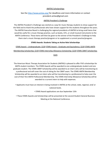#### AMTAS Scholarships

#### See the http://www.amtas.org/ for deadlines and more information or contact president.amtas@gmail.com

#### AMTAS President's Challenge

The AMTAS President's Challenge was started as a way for music therapy students to show support for the field and to thank the professionals who have shown support for the students throughout the years. The AMTAS Executive Board is challenging the regional presidents of AMTAS to bring small items that would be useful for a music therapy practice, such as books, CD's, or small musical instruments to the AMTA Conference. These items will then be given to the winner of the President's Challenge to help them start a music therapy practice/program or to supplement a current practice/program.

#### **STARS Awards: Students Taking an Active Role Scholarships**

STARS Award – Undergraduate: \$220 STARS Award – Graduate and Equivalency: \$220 STARS AMTA Membership Scholarship: \$150 STARS Internship Allowance Scholarship: \$220 STARS CBMT Scholarship:

\$325

The American Music Therapy Association for Students (AMTAS) is pleased to offer FIVE scholarships for AMTA student members. The STARS Awards will be awarded to one undergraduate student and one graduate student. The STARS CBMT Scholarship will be awarded to an intern who will be transitioning to a professional and will cover the cost of sitting for the CBMT exam. The STARS AMTA Membership Scholarship will be awarded to an intern who will be transitioning to a professional to help cover the cost of their first AMTA Professional Membership. The STARS Internship Allowance Scholarship will be awarded to a current intern to help with expenses.

- Applicants must have an interest in being involved in AMTAS at the school, state, regional, and/ or national levels.
	- STARS Award applications are due September 15th

• These STARS Awards and Scholarships will be presented at the second Student General Business Meeting at the National Conference.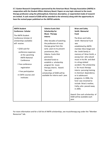**E.T. Gaston Research Competition sponsored by the American Music Therapy Association (AMTA) in cooperation with the Student Affairs Advisory Board. Papers on any topic relevant to the music therapy profession using the philosophical, historical, descriptive, or experiential mode of research are invited. A cash reward of \$500 will be awarded to the winner(s) along with the opportunity to have the revised paper published on the AMTAS website.**

| <b>AMTA Student</b><br><b>Conference Scholar</b>                                                                                                                                                                                                                                            | <b>Edwina Eustis Dick</b><br><b>Scholarship for</b>                                                                                                                                                                                                                                                                                                                                                  | <b>Brian and Cathy</b><br><b>Smith Memorial</b>                                                                                                                                                                                                                                                                                                                                                                                                              |
|---------------------------------------------------------------------------------------------------------------------------------------------------------------------------------------------------------------------------------------------------------------------------------------------|------------------------------------------------------------------------------------------------------------------------------------------------------------------------------------------------------------------------------------------------------------------------------------------------------------------------------------------------------------------------------------------------------|--------------------------------------------------------------------------------------------------------------------------------------------------------------------------------------------------------------------------------------------------------------------------------------------------------------------------------------------------------------------------------------------------------------------------------------------------------------|
| The AMTA Student<br>Conference Scholar (2<br>scholarships available)<br>will receive:<br>• \$250 cash for<br>conference expenses<br>at the upcoming<br><b>AMTA National</b><br>Conference<br>• Free conference<br>registration<br>• Free participation<br>in CMTE courses and<br>institutes | <b>Music Therapy</b><br><b>Interns</b><br>After decades of watching<br>the profession of music<br>therapy grow from the<br>early years to its present<br>prominence, Mrs.<br><b>Edwina Eustis Dick</b><br>graciously<br>donated funds to<br>establish a scholarship<br>program for music<br>therapy interns. Award:<br>Two cash<br>scholarships of \$500 will be<br>available for interns each year. | <b>Fund</b><br>The Brian and Cathy<br>Smith Memorial Fund<br>was<br>established by AMTA<br>member Alice Avigal and<br>the Smith family in<br>memory of Brian Smith, a<br>young man who valued<br>music in his life and died<br>in a drug-related<br>accident. The scholarship<br>is for music therapy<br>interns pursuing training<br>in chemical dependency<br>or in adolescent<br>programs. In 2006, the<br>fund was renamed to<br>include Brian's mother, |
|                                                                                                                                                                                                                                                                                             |                                                                                                                                                                                                                                                                                                                                                                                                      | Cathy, who passed away<br>in 2005.                                                                                                                                                                                                                                                                                                                                                                                                                           |
|                                                                                                                                                                                                                                                                                             |                                                                                                                                                                                                                                                                                                                                                                                                      | Award: One cash scholarship of<br>\$500 will be available each<br>year.                                                                                                                                                                                                                                                                                                                                                                                      |

For more information and for a full list of AMTA scholarships, see musictherapy.org under the "Member Resources" tab.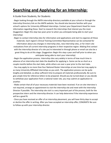# **Searching and Applying for an Internship:**

#### A Guide from Students, for Students

- Begin looking through the AMTA internship directory available at your school or through the Internship Directory link on the AMTA website. You should also become familiar with your school's options for University Affiliated Internships. Contact your Department Head for more information regarding these. Start to research the internships that interest you the most. (Suggestion: Begin this step two years prior to when you anticipate being able to start your internship)

- Begin to contact internship sites for information and applications and start to organize all these materials. Each region's Clinical Training Committee Representative can be contacted for information about any changes in internship sites, new internship sites, or for intern site evaluations from all current internship programs in their respective region. Making first contact with the internship director of a site you're interested in through phone or email can also be a great thing to do at this stage. (Suggestion: Begin this step a year and half prior to when you anticipate being able to start your internship)

- Begin the application process. Internship sites vary widely in terms of how much time in advance of an internship start date the deadline for applying is. Some can be as short as a couple months before the start date, while others are over a year prior to the start date. - You may apply to no more than four National Roster Internships at one time but may apply to as many University Affiliated Internships as you wish. The application process can be quite lengthy and detailed, so allow sufficient time to prepare all materials professionally. Be sure to give ample time for reference letters to be prepared. Should you be turned down or you decide to withdraw your application from a national roster site, you may submit an application to another.

- Make certain that all of your necessary materials have been received. If an on-site interview is not required, arrange an appointment to visit the internship site and meet with the Internship Director if possible. The internship site visit is a very important part of the process, both for the prospective intern and the internship director. It can help determine if the internship experience will be a good fit.

- Once you have received an offer of an internship placement, you will have thirty days to accept or decline the offer in writing. After you have accepted an internship offer, CONGRATS! Be sure to follow up with your internship director.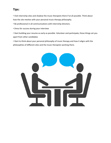### **Tips:**

• Visit internship sites and shadow the music therapists there if at all possible. Think about how the site meshes with your personal music therapy philosophy.

• Be professional in all communications with internship directors.

• Dress for success during your interview

• Start building your resume as early as possible. Volunteer and participate; these things set you apart from other candidates

• Start to think about your personal philosophy of music therapy and how it aligns with the philosophies of different sites and the music therapists working there.